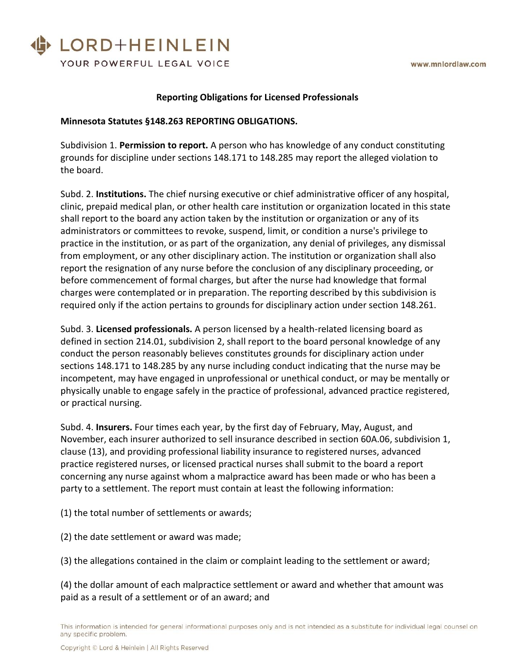

### **Reporting Obligations for Licensed Professionals**

#### **Minnesota Statutes §148.263 REPORTING OBLIGATIONS.**

Subdivision 1. **Permission to report.** A person who has knowledge of any conduct constituting grounds for discipline under sections 148.171 to 148.285 may report the alleged violation to the board.

Subd. 2. **Institutions.** The chief nursing executive or chief administrative officer of any hospital, clinic, prepaid medical plan, or other health care institution or organization located in this state shall report to the board any action taken by the institution or organization or any of its administrators or committees to revoke, suspend, limit, or condition a nurse's privilege to practice in the institution, or as part of the organization, any denial of privileges, any dismissal from employment, or any other disciplinary action. The institution or organization shall also report the resignation of any nurse before the conclusion of any disciplinary proceeding, or before commencement of formal charges, but after the nurse had knowledge that formal charges were contemplated or in preparation. The reporting described by this subdivision is required only if the action pertains to grounds for disciplinary action under section 148.261.

Subd. 3. **Licensed professionals.** A person licensed by a health-related licensing board as defined in section 214.01, subdivision 2, shall report to the board personal knowledge of any conduct the person reasonably believes constitutes grounds for disciplinary action under sections 148.171 to 148.285 by any nurse including conduct indicating that the nurse may be incompetent, may have engaged in unprofessional or unethical conduct, or may be mentally or physically unable to engage safely in the practice of professional, advanced practice registered, or practical nursing.

Subd. 4. **Insurers.** Four times each year, by the first day of February, May, August, and November, each insurer authorized to sell insurance described in section 60A.06, subdivision 1, clause (13), and providing professional liability insurance to registered nurses, advanced practice registered nurses, or licensed practical nurses shall submit to the board a report concerning any nurse against whom a malpractice award has been made or who has been a party to a settlement. The report must contain at least the following information:

(1) the total number of settlements or awards;

(2) the date settlement or award was made;

(3) the allegations contained in the claim or complaint leading to the settlement or award;

(4) the dollar amount of each malpractice settlement or award and whether that amount was paid as a result of a settlement or of an award; and